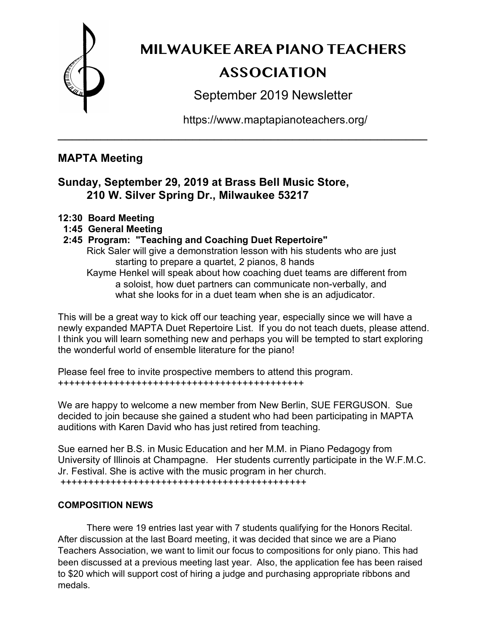

# **MILWAUKEE AREA PIANO TEACHERS ASSOCIATION**

September 2019 Newsletter

https://www.maptapianoteachers.org/

## **MAPTA Meeting**

## **Sunday, September 29, 2019 at Brass Bell Music Store, 210 W. Silver Spring Dr., Milwaukee 53217**

- **12:30 Board Meeting**
- **1:45 General Meeting**
- **2:45 Program: "Teaching and Coaching Duet Repertoire"**
	- Rick Saler will give a demonstration lesson with his students who are just starting to prepare a quartet, 2 pianos, 8 hands

\_\_\_\_\_\_\_\_\_\_\_\_\_\_\_\_\_\_\_\_\_\_\_\_\_\_\_\_\_\_\_\_\_\_\_\_\_\_\_\_\_\_\_\_\_\_\_\_\_\_\_\_

Kayme Henkel will speak about how coaching duet teams are different from a soloist, how duet partners can communicate non-verbally, and what she looks for in a duet team when she is an adjudicator.

This will be a great way to kick off our teaching year, especially since we will have a newly expanded MAPTA Duet Repertoire List. If you do not teach duets, please attend. I think you will learn something new and perhaps you will be tempted to start exploring the wonderful world of ensemble literature for the piano!

Please feel free to invite prospective members to attend this program. ++++++++++++++++++++++++++++++++++++++++++++

We are happy to welcome a new member from New Berlin, SUE FERGUSON. Sue decided to join because she gained a student who had been participating in MAPTA auditions with Karen David who has just retired from teaching.

Sue earned her B.S. in Music Education and her M.M. in Piano Pedagogy from University of Illinois at Champagne. Her students currently participate in the W.F.M.C. Jr. Festival. She is active with the music program in her church. ++++++++++++++++++++++++++++++++++++++++++++

### **COMPOSITION NEWS**

There were 19 entries last year with 7 students qualifying for the Honors Recital. After discussion at the last Board meeting, it was decided that since we are a Piano Teachers Association, we want to limit our focus to compositions for only piano. This had been discussed at a previous meeting last year. Also, the application fee has been raised to \$20 which will support cost of hiring a judge and purchasing appropriate ribbons and medals.